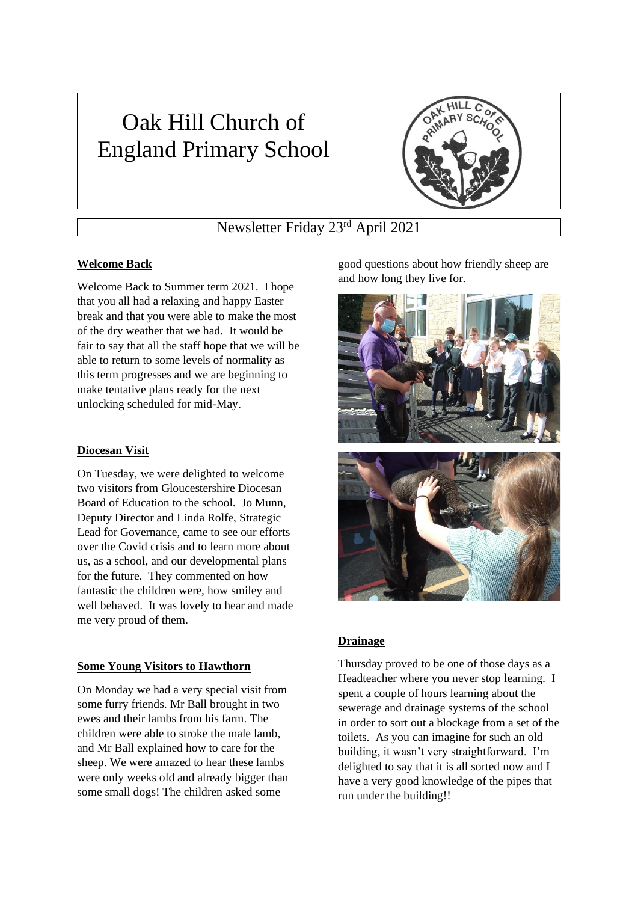# Oak Hill Church of England Primary School



Newsletter Friday 23rd April 2021

# **Welcome Back**

Welcome Back to Summer term 2021. I hope that you all had a relaxing and happy Easter break and that you were able to make the most of the dry weather that we had. It would be fair to say that all the staff hope that we will be able to return to some levels of normality as this term progresses and we are beginning to make tentative plans ready for the next unlocking scheduled for mid-May.

## **Diocesan Visit**

On Tuesday, we were delighted to welcome two visitors from Gloucestershire Diocesan Board of Education to the school. Jo Munn, Deputy Director and Linda Rolfe, Strategic Lead for Governance, came to see our efforts over the Covid crisis and to learn more about us, as a school, and our developmental plans for the future. They commented on how fantastic the children were, how smiley and well behaved. It was lovely to hear and made me very proud of them.

#### **Some Young Visitors to Hawthorn**

On Monday we had a very special visit from some furry friends. Mr Ball brought in two ewes and their lambs from his farm. The children were able to stroke the male lamb, and Mr Ball explained how to care for the sheep. We were amazed to hear these lambs were only weeks old and already bigger than some small dogs! The children asked some

good questions about how friendly sheep are and how long they live for.



# **Drainage**

Thursday proved to be one of those days as a Headteacher where you never stop learning. I spent a couple of hours learning about the sewerage and drainage systems of the school in order to sort out a blockage from a set of the toilets. As you can imagine for such an old building, it wasn't very straightforward. I'm delighted to say that it is all sorted now and I have a very good knowledge of the pipes that run under the building!!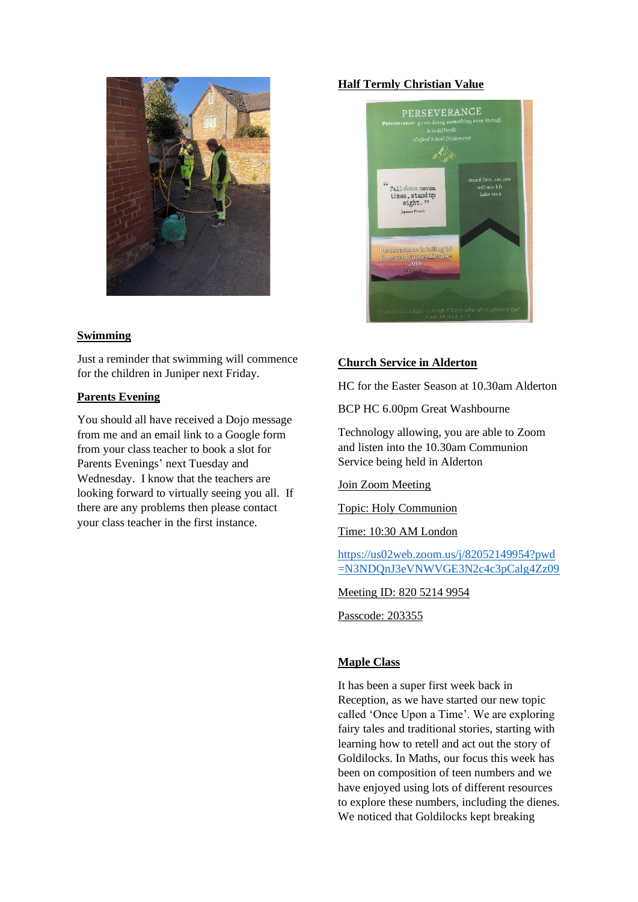

# **Swimming**

Just a reminder that swimming will commence for the children in Juniper next Friday.

## **Parents Evening**

You should all have received a Dojo message from me and an email link to a Google form from your class teacher to book a slot for Parents Evenings' next Tuesday and Wednesday. I know that the teachers are looking forward to virtually seeing you all. If there are any problems then please contact your class teacher in the first instance.

# **Half Termly Christian Value**



# **Church Service in Alderton**

HC for the Easter Season at 10.30am Alderton

BCP HC 6.00pm Great Washbourne

Technology allowing, you are able to Zoom and listen into the 10.30am Communion Service being held in Alderton

# Join Zoom Meeting

Topic: Holy Communion

Time: 10:30 AM London

[https://us02web.zoom.us/j/82052149954?pwd](https://us02web.zoom.us/j/82052149954?pwd=N3NDQnJ3eVNWVGE3N2c4c3pCalg4Zz09) [=N3NDQnJ3eVNWVGE3N2c4c3pCalg4Zz09](https://us02web.zoom.us/j/82052149954?pwd=N3NDQnJ3eVNWVGE3N2c4c3pCalg4Zz09)

Meeting ID: 820 5214 9954

Passcode: 203355

# **Maple Class**

It has been a super first week back in Reception, as we have started our new topic called 'Once Upon a Time'. We are exploring fairy tales and traditional stories, starting with learning how to retell and act out the story of Goldilocks. In Maths, our focus this week has been on composition of teen numbers and we have enjoyed using lots of different resources to explore these numbers, including the dienes. We noticed that Goldilocks kept breaking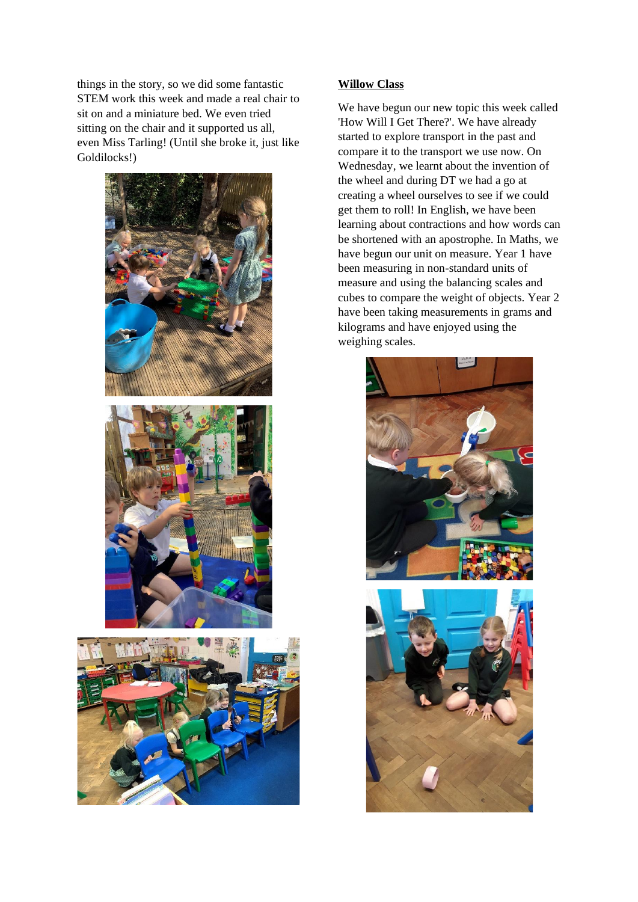things in the story, so we did some fantastic STEM work this week and made a real chair to sit on and a miniature bed. We even tried sitting on the chair and it supported us all, even Miss Tarling! (Until she broke it, just like Goldilocks!)





## **Willow Class**

We have begun our new topic this week called 'How Will I Get There?'. We have already started to explore transport in the past and compare it to the transport we use now. On Wednesday, we learnt about the invention of the wheel and during DT we had a go at creating a wheel ourselves to see if we could get them to roll! In English, we have been learning about contractions and how words can be shortened with an apostrophe. In Maths, we have begun our unit on measure. Year 1 have been measuring in non-standard units of measure and using the balancing scales and cubes to compare the weight of objects. Year 2 have been taking measurements in grams and kilograms and have enjoyed using the weighing scales.



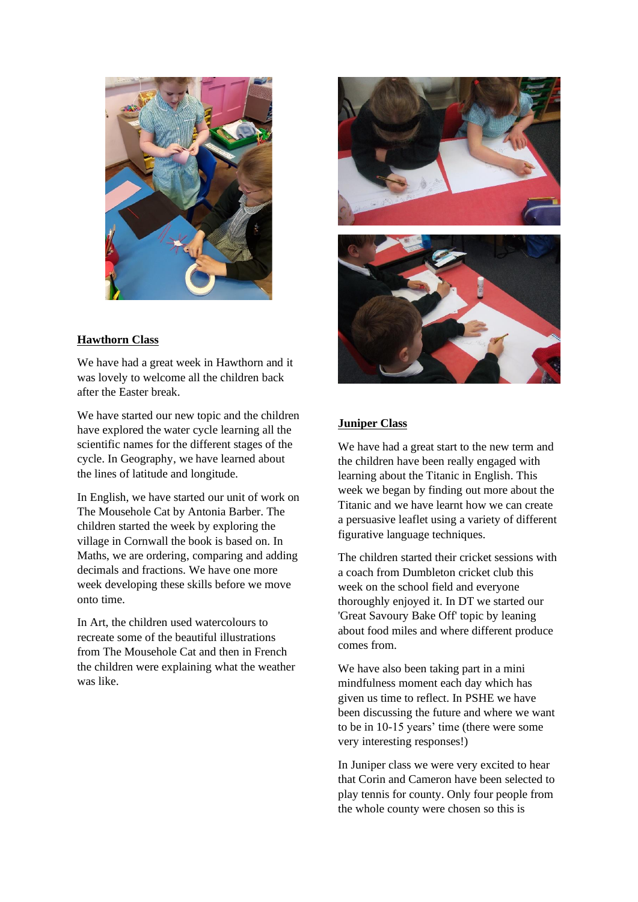

# **Hawthorn Class**

We have had a great week in Hawthorn and it was lovely to welcome all the children back after the Easter break.

We have started our new topic and the children have explored the water cycle learning all the scientific names for the different stages of the cycle. In Geography, we have learned about the lines of latitude and longitude.

In English, we have started our unit of work on The Mousehole Cat by Antonia Barber. The children started the week by exploring the village in Cornwall the book is based on. In Maths, we are ordering, comparing and adding decimals and fractions. We have one more week developing these skills before we move onto time.

In Art, the children used watercolours to recreate some of the beautiful illustrations from The Mousehole Cat and then in French the children were explaining what the weather was like.



# **Juniper Class**

We have had a great start to the new term and the children have been really engaged with learning about the Titanic in English. This week we began by finding out more about the Titanic and we have learnt how we can create a persuasive leaflet using a variety of different figurative language techniques.

The children started their cricket sessions with a coach from Dumbleton cricket club this week on the school field and everyone thoroughly enjoyed it. In DT we started our 'Great Savoury Bake Off' topic by leaning about food miles and where different produce comes from.

We have also been taking part in a mini mindfulness moment each day which has given us time to reflect. In PSHE we have been discussing the future and where we want to be in 10-15 years' time (there were some very interesting responses!)

In Juniper class we were very excited to hear that Corin and Cameron have been selected to play tennis for county. Only four people from the whole county were chosen so this is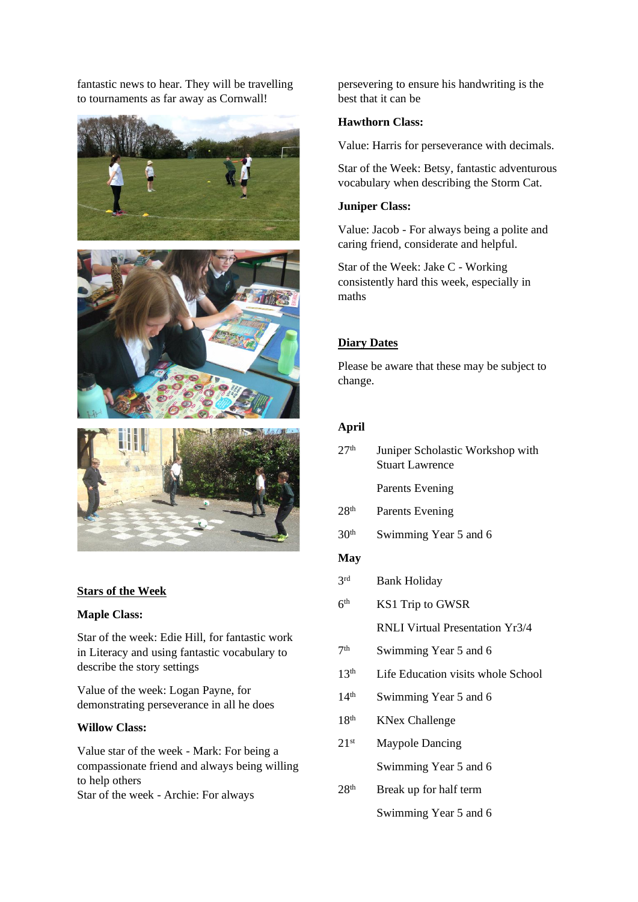fantastic news to hear. They will be travelling to tournaments as far away as Cornwall!







#### **Stars of the Week**

#### **Maple Class:**

Star of the week: Edie Hill, for fantastic work in Literacy and using fantastic vocabulary to describe the story settings

Value of the week: Logan Payne, for demonstrating perseverance in all he does

#### **Willow Class:**

Value star of the week - Mark: For being a compassionate friend and always being willing to help others Star of the week - Archie: For always

persevering to ensure his handwriting is the best that it can be

#### **Hawthorn Class:**

Value: Harris for perseverance with decimals.

Star of the Week: Betsy, fantastic adventurous vocabulary when describing the Storm Cat.

#### **Juniper Class:**

Value: Jacob - For always being a polite and caring friend, considerate and helpful.

Star of the Week: Jake C - Working consistently hard this week, especially in maths

## **Diary Dates**

Please be aware that these may be subject to change.

#### **April**

| 27 <sup>th</sup> | Juniper Scholastic Workshop with |
|------------------|----------------------------------|
|                  | <b>Stuart Lawrence</b>           |
|                  |                                  |

Parents Evening

- 28<sup>th</sup> Parents Evening
- $30<sup>th</sup>$  Swimming Year 5 and 6

## **May**

- $2rd$ **Bank Holiday**
- $6<sup>th</sup>$ KS1 Trip to GWSR
	- RNLI Virtual Presentation Yr3/4
- $7<sup>th</sup>$ Swimming Year 5 and 6
- 13<sup>th</sup> Life Education visits whole School
- $14<sup>th</sup>$  Swimming Year 5 and 6
- 18<sup>th</sup> KNex Challenge
- 21st Maypole Dancing Swimming Year 5 and 6
- $28<sup>th</sup>$  Break up for half term Swimming Year 5 and 6